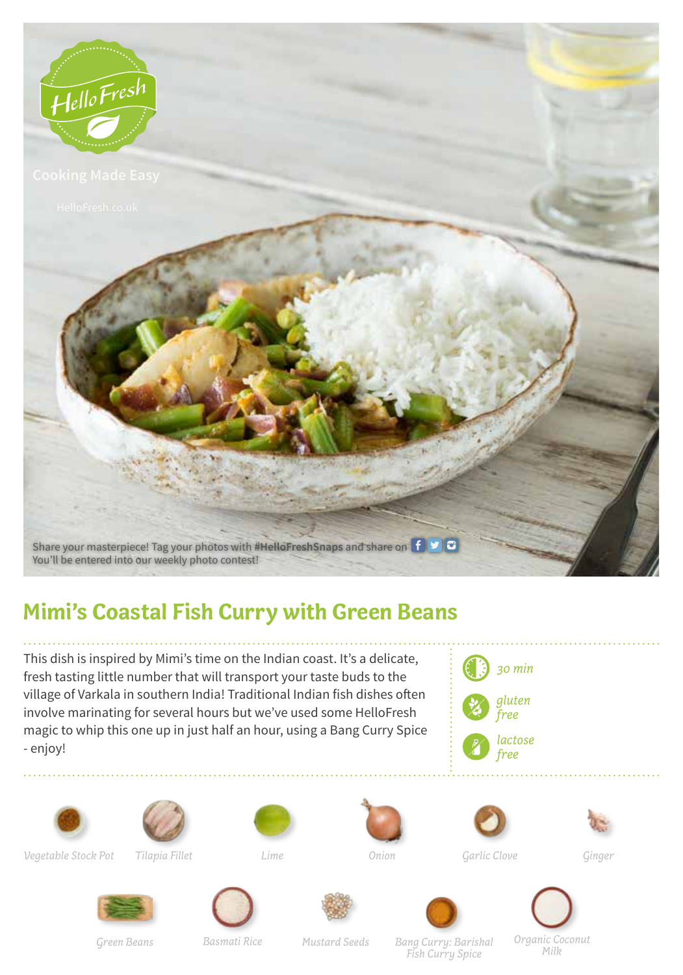

## **Mimi's Coastal Fish Curry with Green Beans**

This dish is inspired by Mimi's time on the Indian coast. It's a delicate, fresh tasting little number that will transport your taste buds to the village of Varkala in southern India! Traditional Indian fish dishes often involve marinating for several hours but we've used some HelloFresh magic to whip this one up in just half an hour, using a Bang Curry Spice - enjoy!







*Vegetable Stock Pot*

*Tilapia Fillet*









*Onion Garlic Clove Ginger*



*Basmati Rice*





*Green Beans Mustard Seeds Bang Curry: Barishal Fish Curry Spice*

*Organic Coconut Milk*